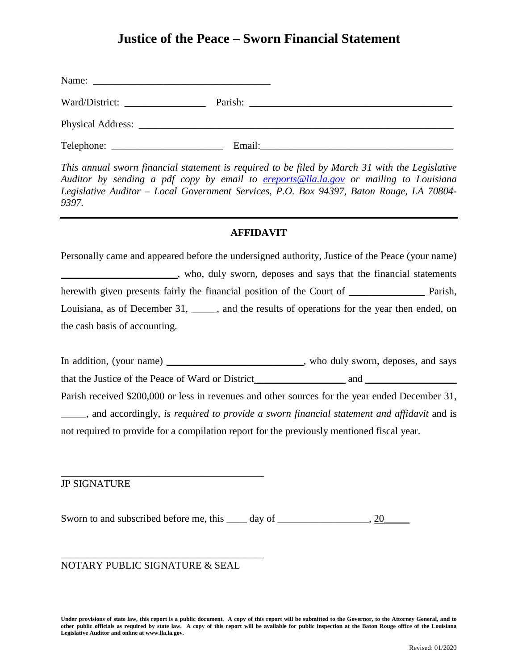# **Justice of the Peace – Sworn Financial Statement**

| Ward/District: |        |  |
|----------------|--------|--|
|                |        |  |
|                | Email: |  |

*This annual sworn financial statement is required to be filed by March 31 with the Legislative Auditor by sending a pdf copy by email to [ereports@lla.la.gov](mailto:ereports@lla.la.gov) or mailing to Louisiana Legislative Auditor – Local Government Services, P.O. Box 94397, Baton Rouge, LA 70804- 9397.*

### **AFFIDAVIT**

Personally came and appeared before the undersigned authority, Justice of the Peace (your name) \_\_\_\_\_\_\_\_\_\_\_\_\_\_\_\_\_\_\_\_\_\_\_, who, duly sworn, deposes and says that the financial statements herewith given presents fairly the financial position of the Court of \_\_\_\_\_\_\_\_\_\_\_\_\_\_\_\_\_ Parish, Louisiana, as of December 31, \_\_\_\_\_, and the results of operations for the year then ended, on the cash basis of accounting.

In addition, (your name) \_\_\_\_\_\_\_\_\_\_\_\_\_\_\_\_\_\_\_\_\_\_\_\_\_, who duly sworn, deposes, and says that the Justice of the Peace of Ward or District and  $\Box$ Parish received \$200,000 or less in revenues and other sources for the year ended December 31, \_\_\_\_\_, and accordingly, *is required to provide a sworn financial statement and affidavit* and is not required to provide for a compilation report for the previously mentioned fiscal year.

JP SIGNATURE

Sworn to and subscribed before me, this \_\_\_\_ day of \_\_\_\_\_\_\_\_\_\_\_\_\_\_\_\_, 20\_\_\_\_\_\_\_\_

### NOTARY PUBLIC SIGNATURE & SEAL

\_\_\_\_\_\_\_\_\_\_\_\_\_\_\_\_\_\_\_\_\_\_\_\_\_\_\_\_\_\_\_\_\_\_\_\_\_\_\_\_

\_\_\_\_\_\_\_\_\_\_\_\_\_\_\_\_\_\_\_\_\_\_\_\_\_\_\_\_\_\_\_\_\_\_\_\_\_\_\_\_

**Under provisions of state law, this report is a public document. A copy of this report will be submitted to the Governor, to the Attorney General, and to other public officials as required by state law. A copy of this report will be available for public inspection at the Baton Rouge office of the Louisiana Legislative Auditor and online at www.lla.la.gov.**